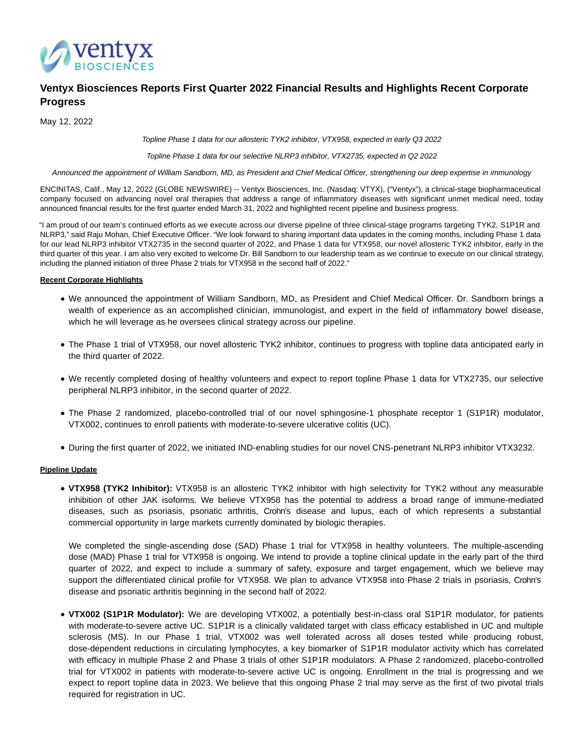

# **Ventyx Biosciences Reports First Quarter 2022 Financial Results and Highlights Recent Corporate Progress**

May 12, 2022

Topline Phase 1 data for our allosteric TYK2 inhibitor, VTX958, expected in early Q3 2022

Topline Phase 1 data for our selective NLRP3 inhibitor, VTX2735, expected in Q2 2022

Announced the appointment of William Sandborn, MD, as President and Chief Medical Officer, strengthening our deep expertise in immunology

ENCINITAS, Calif., May 12, 2022 (GLOBE NEWSWIRE) -- Ventyx Biosciences, Inc. (Nasdaq: VTYX), ("Ventyx"), a clinical-stage biopharmaceutical company focused on advancing novel oral therapies that address a range of inflammatory diseases with significant unmet medical need, today announced financial results for the first quarter ended March 31, 2022 and highlighted recent pipeline and business progress.

"I am proud of our team's continued efforts as we execute across our diverse pipeline of three clinical-stage programs targeting TYK2, S1P1R and NLRP3," said Raju Mohan, Chief Executive Officer. "We look forward to sharing important data updates in the coming months, including Phase 1 data for our lead NLRP3 inhibitor VTX2735 in the second quarter of 2022, and Phase 1 data for VTX958, our novel allosteric TYK2 inhibitor, early in the third quarter of this year. I am also very excited to welcome Dr. Bill Sandborn to our leadership team as we continue to execute on our clinical strategy, including the planned initiation of three Phase 2 trials for VTX958 in the second half of 2022."

### **Recent Corporate Highlights**

- We announced the appointment of William Sandborn, MD, as President and Chief Medical Officer. Dr. Sandborn brings a wealth of experience as an accomplished clinician, immunologist, and expert in the field of inflammatory bowel disease, which he will leverage as he oversees clinical strategy across our pipeline.
- The Phase 1 trial of VTX958, our novel allosteric TYK2 inhibitor, continues to progress with topline data anticipated early in the third quarter of 2022.
- We recently completed dosing of healthy volunteers and expect to report topline Phase 1 data for VTX2735, our selective peripheral NLRP3 inhibitor, in the second quarter of 2022.
- The Phase 2 randomized, placebo-controlled trial of our novel sphingosine-1 phosphate receptor 1 (S1P1R) modulator, VTX002, continues to enroll patients with moderate-to-severe ulcerative colitis (UC).
- During the first quarter of 2022, we initiated IND-enabling studies for our novel CNS-penetrant NLRP3 inhibitor VTX3232.

### **Pipeline Update**

**VTX958 (TYK2 Inhibitor):** VTX958 is an allosteric TYK2 inhibitor with high selectivity for TYK2 without any measurable inhibition of other JAK isoforms. We believe VTX958 has the potential to address a broad range of immune-mediated diseases, such as psoriasis, psoriatic arthritis, Crohn's disease and lupus, each of which represents a substantial commercial opportunity in large markets currently dominated by biologic therapies.

We completed the single-ascending dose (SAD) Phase 1 trial for VTX958 in healthy volunteers. The multiple-ascending dose (MAD) Phase 1 trial for VTX958 is ongoing. We intend to provide a topline clinical update in the early part of the third quarter of 2022, and expect to include a summary of safety, exposure and target engagement, which we believe may support the differentiated clinical profile for VTX958. We plan to advance VTX958 into Phase 2 trials in psoriasis, Crohn's disease and psoriatic arthritis beginning in the second half of 2022.

**VTX002 (S1P1R Modulator):** We are developing VTX002, a potentially best-in-class oral S1P1R modulator, for patients with moderate-to-severe active UC. S1P1R is a clinically validated target with class efficacy established in UC and multiple sclerosis (MS). In our Phase 1 trial, VTX002 was well tolerated across all doses tested while producing robust, dose-dependent reductions in circulating lymphocytes, a key biomarker of S1P1R modulator activity which has correlated with efficacy in multiple Phase 2 and Phase 3 trials of other S1P1R modulators. A Phase 2 randomized, placebo-controlled trial for VTX002 in patients with moderate-to-severe active UC is ongoing. Enrollment in the trial is progressing and we expect to report topline data in 2023. We believe that this ongoing Phase 2 trial may serve as the first of two pivotal trials required for registration in UC.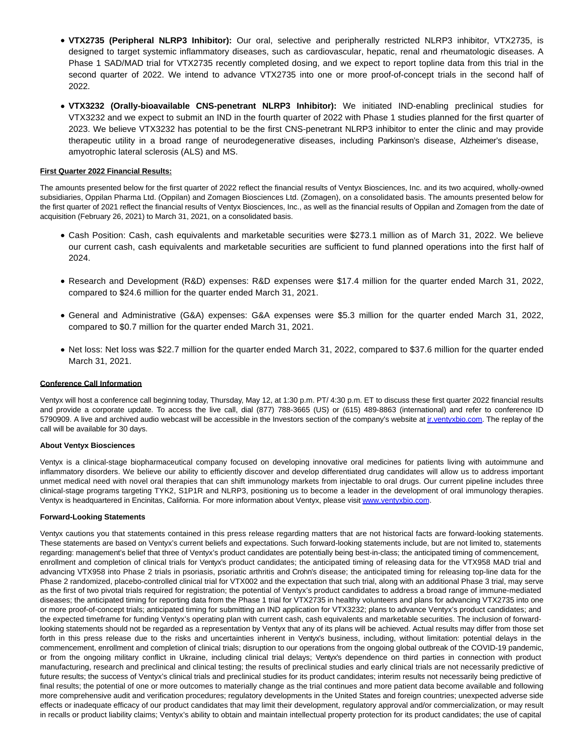- **VTX2735 (Peripheral NLRP3 Inhibitor):** Our oral, selective and peripherally restricted NLRP3 inhibitor, VTX2735, is designed to target systemic inflammatory diseases, such as cardiovascular, hepatic, renal and rheumatologic diseases. A Phase 1 SAD/MAD trial for VTX2735 recently completed dosing, and we expect to report topline data from this trial in the second quarter of 2022. We intend to advance VTX2735 into one or more proof-of-concept trials in the second half of 2022.
- **VTX3232 (Orally-bioavailable CNS-penetrant NLRP3 Inhibitor):** We initiated IND-enabling preclinical studies for VTX3232 and we expect to submit an IND in the fourth quarter of 2022 with Phase 1 studies planned for the first quarter of 2023. We believe VTX3232 has potential to be the first CNS-penetrant NLRP3 inhibitor to enter the clinic and may provide therapeutic utility in a broad range of neurodegenerative diseases, including Parkinson's disease, Alzheimer's disease, amyotrophic lateral sclerosis (ALS) and MS.

# **First Quarter 2022 Financial Results:**

The amounts presented below for the first quarter of 2022 reflect the financial results of Ventyx Biosciences, Inc. and its two acquired, wholly-owned subsidiaries, Oppilan Pharma Ltd. (Oppilan) and Zomagen Biosciences Ltd. (Zomagen), on a consolidated basis. The amounts presented below for the first quarter of 2021 reflect the financial results of Ventyx Biosciences, Inc., as well as the financial results of Oppilan and Zomagen from the date of acquisition (February 26, 2021) to March 31, 2021, on a consolidated basis.

- Cash Position: Cash, cash equivalents and marketable securities were \$273.1 million as of March 31, 2022. We believe our current cash, cash equivalents and marketable securities are sufficient to fund planned operations into the first half of 2024.
- Research and Development (R&D) expenses: R&D expenses were \$17.4 million for the quarter ended March 31, 2022, compared to \$24.6 million for the quarter ended March 31, 2021.
- General and Administrative (G&A) expenses: G&A expenses were \$5.3 million for the quarter ended March 31, 2022, compared to \$0.7 million for the quarter ended March 31, 2021.
- Net loss: Net loss was \$22.7 million for the quarter ended March 31, 2022, compared to \$37.6 million for the quarter ended March 31, 2021.

### **Conference Call Information**

Ventyx will host a conference call beginning today, Thursday, May 12, at 1:30 p.m. PT/ 4:30 p.m. ET to discuss these first quarter 2022 financial results and provide a corporate update. To access the live call, dial (877) 788-3665 (US) or (615) 489-8863 (international) and refer to conference ID 5790909. A live and archived audio webcast will be accessible in the Investors section of the company's website at inventyxbio.com. The replay of the call will be available for 30 days.

#### **About Ventyx Biosciences**

Ventyx is a clinical-stage biopharmaceutical company focused on developing innovative oral medicines for patients living with autoimmune and inflammatory disorders. We believe our ability to efficiently discover and develop differentiated drug candidates will allow us to address important unmet medical need with novel oral therapies that can shift immunology markets from injectable to oral drugs. Our current pipeline includes three clinical-stage programs targeting TYK2, S1P1R and NLRP3, positioning us to become a leader in the development of oral immunology therapies. Ventyx is headquartered in Encinitas, California. For more information about Ventyx, please visi[t www.ventyxbio.com.](https://www.globenewswire.com/Tracker?data=cvlTyTdXdA1947P4mIENmVl4AaVGRctPCQkfODtIc9yurGdHSUOWwh0YpJ_w3M9QSarGZOmbVXK4xAjsdF2WJg==)

#### **Forward-Looking Statements**

Ventyx cautions you that statements contained in this press release regarding matters that are not historical facts are forward-looking statements. These statements are based on Ventyx's current beliefs and expectations. Such forward-looking statements include, but are not limited to, statements regarding: management's belief that three of Ventyx's product candidates are potentially being best-in-class; the anticipated timing of commencement, enrollment and completion of clinical trials for Ventyx's product candidates; the anticipated timing of releasing data for the VTX958 MAD trial and advancing VTX958 into Phase 2 trials in psoriasis, psoriatic arthritis and Crohn's disease; the anticipated timing for releasing top-line data for the Phase 2 randomized, placebo-controlled clinical trial for VTX002 and the expectation that such trial, along with an additional Phase 3 trial, may serve as the first of two pivotal trials required for registration; the potential of Ventyx's product candidates to address a broad range of immune-mediated diseases; the anticipated timing for reporting data from the Phase 1 trial for VTX2735 in healthy volunteers and plans for advancing VTX2735 into one or more proof-of-concept trials; anticipated timing for submitting an IND application for VTX3232; plans to advance Ventyx's product candidates; and the expected timeframe for funding Ventyx's operating plan with current cash, cash equivalents and marketable securities. The inclusion of forwardlooking statements should not be regarded as a representation by Ventyx that any of its plans will be achieved. Actual results may differ from those set forth in this press release due to the risks and uncertainties inherent in Ventyx's business, including, without limitation: potential delays in the commencement, enrollment and completion of clinical trials; disruption to our operations from the ongoing global outbreak of the COVID-19 pandemic, or from the ongoing military conflict in Ukraine, including clinical trial delays; Ventyx's dependence on third parties in connection with product manufacturing, research and preclinical and clinical testing; the results of preclinical studies and early clinical trials are not necessarily predictive of future results; the success of Ventyx's clinical trials and preclinical studies for its product candidates; interim results not necessarily being predictive of final results; the potential of one or more outcomes to materially change as the trial continues and more patient data become available and following more comprehensive audit and verification procedures; regulatory developments in the United States and foreign countries; unexpected adverse side effects or inadequate efficacy of our product candidates that may limit their development, regulatory approval and/or commercialization, or may result in recalls or product liability claims; Ventyx's ability to obtain and maintain intellectual property protection for its product candidates; the use of capital